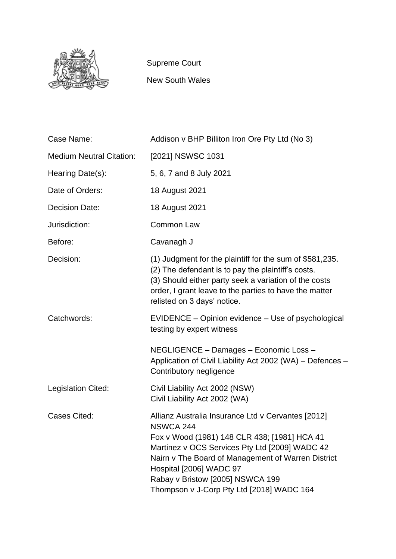

Supreme Court

New South Wales

| Case Name:                      | Addison v BHP Billiton Iron Ore Pty Ltd (No 3)                                                                                                                                                                                                                                                                                             |
|---------------------------------|--------------------------------------------------------------------------------------------------------------------------------------------------------------------------------------------------------------------------------------------------------------------------------------------------------------------------------------------|
| <b>Medium Neutral Citation:</b> | [2021] NSWSC 1031                                                                                                                                                                                                                                                                                                                          |
| Hearing Date(s):                | 5, 6, 7 and 8 July 2021                                                                                                                                                                                                                                                                                                                    |
| Date of Orders:                 | 18 August 2021                                                                                                                                                                                                                                                                                                                             |
| <b>Decision Date:</b>           | 18 August 2021                                                                                                                                                                                                                                                                                                                             |
| Jurisdiction:                   | <b>Common Law</b>                                                                                                                                                                                                                                                                                                                          |
| Before:                         | Cavanagh J                                                                                                                                                                                                                                                                                                                                 |
| Decision:                       | (1) Judgment for the plaintiff for the sum of \$581,235.<br>(2) The defendant is to pay the plaintiff's costs.<br>(3) Should either party seek a variation of the costs<br>order, I grant leave to the parties to have the matter<br>relisted on 3 days' notice.                                                                           |
| Catchwords:                     | EVIDENCE – Opinion evidence – Use of psychological<br>testing by expert witness                                                                                                                                                                                                                                                            |
|                                 | NEGLIGENCE - Damages - Economic Loss -<br>Application of Civil Liability Act 2002 (WA) - Defences -<br>Contributory negligence                                                                                                                                                                                                             |
| Legislation Cited:              | Civil Liability Act 2002 (NSW)<br>Civil Liability Act 2002 (WA)                                                                                                                                                                                                                                                                            |
| <b>Cases Cited:</b>             | Allianz Australia Insurance Ltd v Cervantes [2012]<br><b>NSWCA 244</b><br>Fox v Wood (1981) 148 CLR 438; [1981] HCA 41<br>Martinez v OCS Services Pty Ltd [2009] WADC 42<br>Nairn v The Board of Management of Warren District<br>Hospital [2006] WADC 97<br>Rabay v Bristow [2005] NSWCA 199<br>Thompson v J-Corp Pty Ltd [2018] WADC 164 |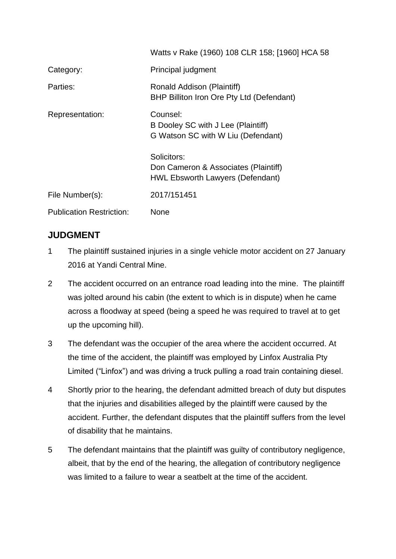|                                 | Watts v Rake (1960) 108 CLR 158; [1960] HCA 58                                                 |
|---------------------------------|------------------------------------------------------------------------------------------------|
| Category:                       | Principal judgment                                                                             |
| Parties:                        | Ronald Addison (Plaintiff)<br>BHP Billiton Iron Ore Pty Ltd (Defendant)                        |
| Representation:                 | Counsel:<br>B Dooley SC with J Lee (Plaintiff)<br>G Watson SC with W Liu (Defendant)           |
|                                 | Solicitors:<br>Don Cameron & Associates (Plaintiff)<br><b>HWL Ebsworth Lawyers (Defendant)</b> |
| File Number(s):                 | 2017/151451                                                                                    |
| <b>Publication Restriction:</b> | <b>None</b>                                                                                    |

# **JUDGMENT**

- 1 The plaintiff sustained injuries in a single vehicle motor accident on 27 January 2016 at Yandi Central Mine.
- 2 The accident occurred on an entrance road leading into the mine. The plaintiff was jolted around his cabin (the extent to which is in dispute) when he came across a floodway at speed (being a speed he was required to travel at to get up the upcoming hill).
- 3 The defendant was the occupier of the area where the accident occurred. At the time of the accident, the plaintiff was employed by Linfox Australia Pty Limited ("Linfox") and was driving a truck pulling a road train containing diesel.
- 4 Shortly prior to the hearing, the defendant admitted breach of duty but disputes that the injuries and disabilities alleged by the plaintiff were caused by the accident. Further, the defendant disputes that the plaintiff suffers from the level of disability that he maintains.
- 5 The defendant maintains that the plaintiff was guilty of contributory negligence, albeit, that by the end of the hearing, the allegation of contributory negligence was limited to a failure to wear a seatbelt at the time of the accident.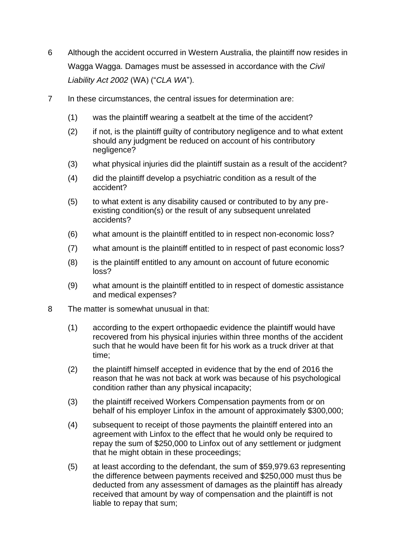- 6 Although the accident occurred in Western Australia, the plaintiff now resides in Wagga Wagga. Damages must be assessed in accordance with the *Civil Liability Act 2002* (WA) ("*CLA WA*").
- 7 In these circumstances, the central issues for determination are:
	- (1) was the plaintiff wearing a seatbelt at the time of the accident?
	- (2) if not, is the plaintiff guilty of contributory negligence and to what extent should any judgment be reduced on account of his contributory negligence?
	- (3) what physical injuries did the plaintiff sustain as a result of the accident?
	- (4) did the plaintiff develop a psychiatric condition as a result of the accident?
	- (5) to what extent is any disability caused or contributed to by any preexisting condition(s) or the result of any subsequent unrelated accidents?
	- (6) what amount is the plaintiff entitled to in respect non-economic loss?
	- (7) what amount is the plaintiff entitled to in respect of past economic loss?
	- (8) is the plaintiff entitled to any amount on account of future economic loss?
	- (9) what amount is the plaintiff entitled to in respect of domestic assistance and medical expenses?
- 8 The matter is somewhat unusual in that:
	- (1) according to the expert orthopaedic evidence the plaintiff would have recovered from his physical injuries within three months of the accident such that he would have been fit for his work as a truck driver at that time;
	- (2) the plaintiff himself accepted in evidence that by the end of 2016 the reason that he was not back at work was because of his psychological condition rather than any physical incapacity;
	- (3) the plaintiff received Workers Compensation payments from or on behalf of his employer Linfox in the amount of approximately \$300,000;
	- (4) subsequent to receipt of those payments the plaintiff entered into an agreement with Linfox to the effect that he would only be required to repay the sum of \$250,000 to Linfox out of any settlement or judgment that he might obtain in these proceedings;
	- (5) at least according to the defendant, the sum of \$59,979.63 representing the difference between payments received and \$250,000 must thus be deducted from any assessment of damages as the plaintiff has already received that amount by way of compensation and the plaintiff is not liable to repay that sum;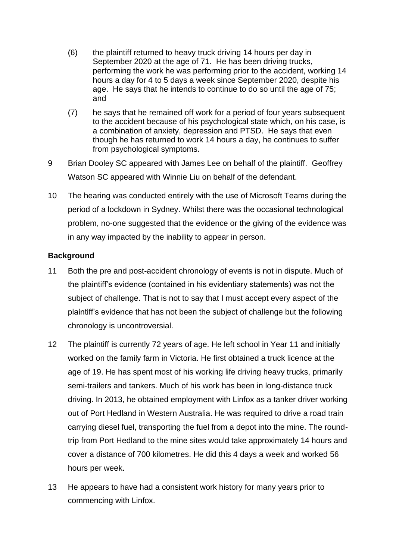- (6) the plaintiff returned to heavy truck driving 14 hours per day in September 2020 at the age of 71. He has been driving trucks, performing the work he was performing prior to the accident, working 14 hours a day for 4 to 5 days a week since September 2020, despite his age. He says that he intends to continue to do so until the age of 75; and
- (7) he says that he remained off work for a period of four years subsequent to the accident because of his psychological state which, on his case, is a combination of anxiety, depression and PTSD. He says that even though he has returned to work 14 hours a day, he continues to suffer from psychological symptoms.
- 9 Brian Dooley SC appeared with James Lee on behalf of the plaintiff. Geoffrey Watson SC appeared with Winnie Liu on behalf of the defendant.
- 10 The hearing was conducted entirely with the use of Microsoft Teams during the period of a lockdown in Sydney. Whilst there was the occasional technological problem, no-one suggested that the evidence or the giving of the evidence was in any way impacted by the inability to appear in person.

# **Background**

- 11 Both the pre and post-accident chronology of events is not in dispute. Much of the plaintiff's evidence (contained in his evidentiary statements) was not the subject of challenge. That is not to say that I must accept every aspect of the plaintiff's evidence that has not been the subject of challenge but the following chronology is uncontroversial.
- 12 The plaintiff is currently 72 years of age. He left school in Year 11 and initially worked on the family farm in Victoria. He first obtained a truck licence at the age of 19. He has spent most of his working life driving heavy trucks, primarily semi-trailers and tankers. Much of his work has been in long-distance truck driving. In 2013, he obtained employment with Linfox as a tanker driver working out of Port Hedland in Western Australia. He was required to drive a road train carrying diesel fuel, transporting the fuel from a depot into the mine. The roundtrip from Port Hedland to the mine sites would take approximately 14 hours and cover a distance of 700 kilometres. He did this 4 days a week and worked 56 hours per week.
- 13 He appears to have had a consistent work history for many years prior to commencing with Linfox.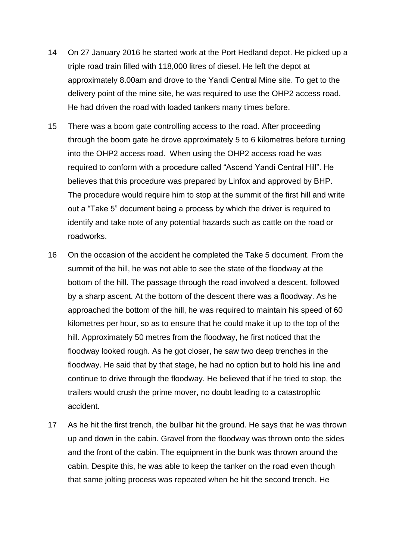- 14 On 27 January 2016 he started work at the Port Hedland depot. He picked up a triple road train filled with 118,000 litres of diesel. He left the depot at approximately 8.00am and drove to the Yandi Central Mine site. To get to the delivery point of the mine site, he was required to use the OHP2 access road. He had driven the road with loaded tankers many times before.
- 15 There was a boom gate controlling access to the road. After proceeding through the boom gate he drove approximately 5 to 6 kilometres before turning into the OHP2 access road. When using the OHP2 access road he was required to conform with a procedure called "Ascend Yandi Central Hill". He believes that this procedure was prepared by Linfox and approved by BHP. The procedure would require him to stop at the summit of the first hill and write out a "Take 5" document being a process by which the driver is required to identify and take note of any potential hazards such as cattle on the road or roadworks.
- 16 On the occasion of the accident he completed the Take 5 document. From the summit of the hill, he was not able to see the state of the floodway at the bottom of the hill. The passage through the road involved a descent, followed by a sharp ascent. At the bottom of the descent there was a floodway. As he approached the bottom of the hill, he was required to maintain his speed of 60 kilometres per hour, so as to ensure that he could make it up to the top of the hill. Approximately 50 metres from the floodway, he first noticed that the floodway looked rough. As he got closer, he saw two deep trenches in the floodway. He said that by that stage, he had no option but to hold his line and continue to drive through the floodway. He believed that if he tried to stop, the trailers would crush the prime mover, no doubt leading to a catastrophic accident.
- 17 As he hit the first trench, the bullbar hit the ground. He says that he was thrown up and down in the cabin. Gravel from the floodway was thrown onto the sides and the front of the cabin. The equipment in the bunk was thrown around the cabin. Despite this, he was able to keep the tanker on the road even though that same jolting process was repeated when he hit the second trench. He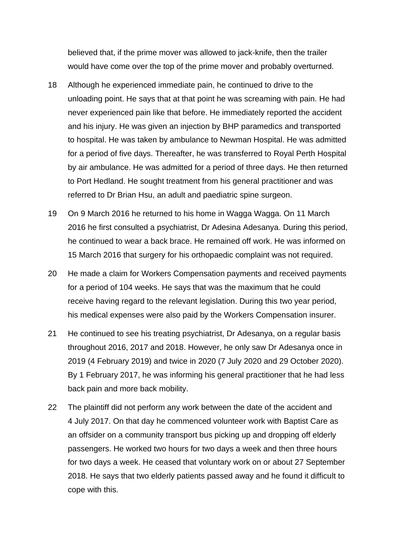believed that, if the prime mover was allowed to jack-knife, then the trailer would have come over the top of the prime mover and probably overturned.

- 18 Although he experienced immediate pain, he continued to drive to the unloading point. He says that at that point he was screaming with pain. He had never experienced pain like that before. He immediately reported the accident and his injury. He was given an injection by BHP paramedics and transported to hospital. He was taken by ambulance to Newman Hospital. He was admitted for a period of five days. Thereafter, he was transferred to Royal Perth Hospital by air ambulance. He was admitted for a period of three days. He then returned to Port Hedland. He sought treatment from his general practitioner and was referred to Dr Brian Hsu, an adult and paediatric spine surgeon.
- 19 On 9 March 2016 he returned to his home in Wagga Wagga. On 11 March 2016 he first consulted a psychiatrist, Dr Adesina Adesanya. During this period, he continued to wear a back brace. He remained off work. He was informed on 15 March 2016 that surgery for his orthopaedic complaint was not required.
- 20 He made a claim for Workers Compensation payments and received payments for a period of 104 weeks. He says that was the maximum that he could receive having regard to the relevant legislation. During this two year period, his medical expenses were also paid by the Workers Compensation insurer.
- 21 He continued to see his treating psychiatrist, Dr Adesanya, on a regular basis throughout 2016, 2017 and 2018. However, he only saw Dr Adesanya once in 2019 (4 February 2019) and twice in 2020 (7 July 2020 and 29 October 2020). By 1 February 2017, he was informing his general practitioner that he had less back pain and more back mobility.
- 22 The plaintiff did not perform any work between the date of the accident and 4 July 2017. On that day he commenced volunteer work with Baptist Care as an offsider on a community transport bus picking up and dropping off elderly passengers. He worked two hours for two days a week and then three hours for two days a week. He ceased that voluntary work on or about 27 September 2018. He says that two elderly patients passed away and he found it difficult to cope with this.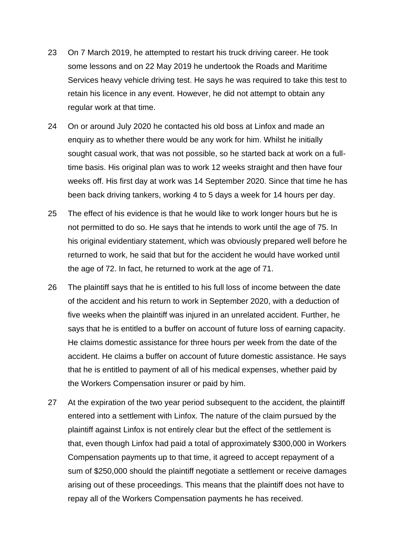- 23 On 7 March 2019, he attempted to restart his truck driving career. He took some lessons and on 22 May 2019 he undertook the Roads and Maritime Services heavy vehicle driving test. He says he was required to take this test to retain his licence in any event. However, he did not attempt to obtain any regular work at that time.
- 24 On or around July 2020 he contacted his old boss at Linfox and made an enquiry as to whether there would be any work for him. Whilst he initially sought casual work, that was not possible, so he started back at work on a fulltime basis. His original plan was to work 12 weeks straight and then have four weeks off. His first day at work was 14 September 2020. Since that time he has been back driving tankers, working 4 to 5 days a week for 14 hours per day.
- 25 The effect of his evidence is that he would like to work longer hours but he is not permitted to do so. He says that he intends to work until the age of 75. In his original evidentiary statement, which was obviously prepared well before he returned to work, he said that but for the accident he would have worked until the age of 72. In fact, he returned to work at the age of 71.
- 26 The plaintiff says that he is entitled to his full loss of income between the date of the accident and his return to work in September 2020, with a deduction of five weeks when the plaintiff was injured in an unrelated accident. Further, he says that he is entitled to a buffer on account of future loss of earning capacity. He claims domestic assistance for three hours per week from the date of the accident. He claims a buffer on account of future domestic assistance. He says that he is entitled to payment of all of his medical expenses, whether paid by the Workers Compensation insurer or paid by him.
- 27 At the expiration of the two year period subsequent to the accident, the plaintiff entered into a settlement with Linfox. The nature of the claim pursued by the plaintiff against Linfox is not entirely clear but the effect of the settlement is that, even though Linfox had paid a total of approximately \$300,000 in Workers Compensation payments up to that time, it agreed to accept repayment of a sum of \$250,000 should the plaintiff negotiate a settlement or receive damages arising out of these proceedings. This means that the plaintiff does not have to repay all of the Workers Compensation payments he has received.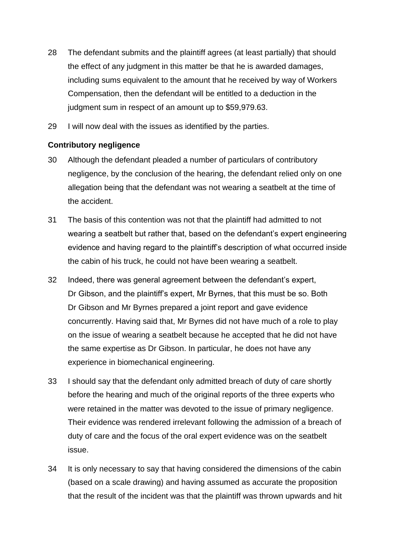- 28 The defendant submits and the plaintiff agrees (at least partially) that should the effect of any judgment in this matter be that he is awarded damages, including sums equivalent to the amount that he received by way of Workers Compensation, then the defendant will be entitled to a deduction in the judgment sum in respect of an amount up to \$59,979.63.
- 29 I will now deal with the issues as identified by the parties.

# **Contributory negligence**

- 30 Although the defendant pleaded a number of particulars of contributory negligence, by the conclusion of the hearing, the defendant relied only on one allegation being that the defendant was not wearing a seatbelt at the time of the accident.
- 31 The basis of this contention was not that the plaintiff had admitted to not wearing a seatbelt but rather that, based on the defendant's expert engineering evidence and having regard to the plaintiff's description of what occurred inside the cabin of his truck, he could not have been wearing a seatbelt.
- 32 Indeed, there was general agreement between the defendant's expert, Dr Gibson, and the plaintiff's expert, Mr Byrnes, that this must be so. Both Dr Gibson and Mr Byrnes prepared a joint report and gave evidence concurrently. Having said that, Mr Byrnes did not have much of a role to play on the issue of wearing a seatbelt because he accepted that he did not have the same expertise as Dr Gibson. In particular, he does not have any experience in biomechanical engineering.
- 33 I should say that the defendant only admitted breach of duty of care shortly before the hearing and much of the original reports of the three experts who were retained in the matter was devoted to the issue of primary negligence. Their evidence was rendered irrelevant following the admission of a breach of duty of care and the focus of the oral expert evidence was on the seatbelt issue.
- 34 It is only necessary to say that having considered the dimensions of the cabin (based on a scale drawing) and having assumed as accurate the proposition that the result of the incident was that the plaintiff was thrown upwards and hit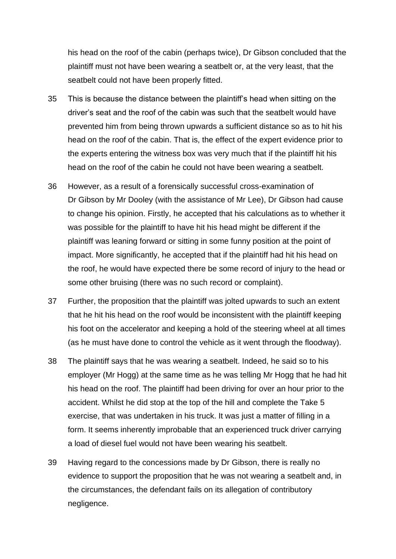his head on the roof of the cabin (perhaps twice), Dr Gibson concluded that the plaintiff must not have been wearing a seatbelt or, at the very least, that the seatbelt could not have been properly fitted.

- 35 This is because the distance between the plaintiff's head when sitting on the driver's seat and the roof of the cabin was such that the seatbelt would have prevented him from being thrown upwards a sufficient distance so as to hit his head on the roof of the cabin. That is, the effect of the expert evidence prior to the experts entering the witness box was very much that if the plaintiff hit his head on the roof of the cabin he could not have been wearing a seatbelt.
- 36 However, as a result of a forensically successful cross-examination of Dr Gibson by Mr Dooley (with the assistance of Mr Lee), Dr Gibson had cause to change his opinion. Firstly, he accepted that his calculations as to whether it was possible for the plaintiff to have hit his head might be different if the plaintiff was leaning forward or sitting in some funny position at the point of impact. More significantly, he accepted that if the plaintiff had hit his head on the roof, he would have expected there be some record of injury to the head or some other bruising (there was no such record or complaint).
- 37 Further, the proposition that the plaintiff was jolted upwards to such an extent that he hit his head on the roof would be inconsistent with the plaintiff keeping his foot on the accelerator and keeping a hold of the steering wheel at all times (as he must have done to control the vehicle as it went through the floodway).
- 38 The plaintiff says that he was wearing a seatbelt. Indeed, he said so to his employer (Mr Hogg) at the same time as he was telling Mr Hogg that he had hit his head on the roof. The plaintiff had been driving for over an hour prior to the accident. Whilst he did stop at the top of the hill and complete the Take 5 exercise, that was undertaken in his truck. It was just a matter of filling in a form. It seems inherently improbable that an experienced truck driver carrying a load of diesel fuel would not have been wearing his seatbelt.
- 39 Having regard to the concessions made by Dr Gibson, there is really no evidence to support the proposition that he was not wearing a seatbelt and, in the circumstances, the defendant fails on its allegation of contributory negligence.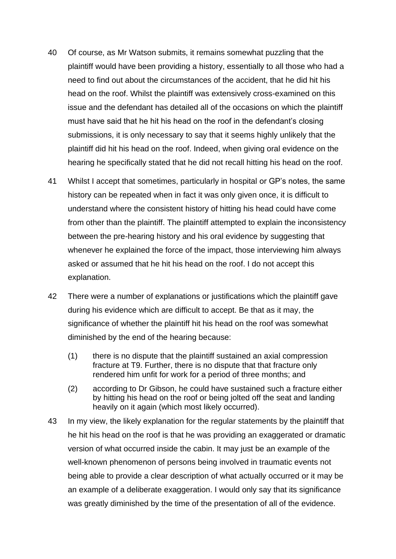- 40 Of course, as Mr Watson submits, it remains somewhat puzzling that the plaintiff would have been providing a history, essentially to all those who had a need to find out about the circumstances of the accident, that he did hit his head on the roof. Whilst the plaintiff was extensively cross-examined on this issue and the defendant has detailed all of the occasions on which the plaintiff must have said that he hit his head on the roof in the defendant's closing submissions, it is only necessary to say that it seems highly unlikely that the plaintiff did hit his head on the roof. Indeed, when giving oral evidence on the hearing he specifically stated that he did not recall hitting his head on the roof.
- 41 Whilst I accept that sometimes, particularly in hospital or GP's notes, the same history can be repeated when in fact it was only given once, it is difficult to understand where the consistent history of hitting his head could have come from other than the plaintiff. The plaintiff attempted to explain the inconsistency between the pre-hearing history and his oral evidence by suggesting that whenever he explained the force of the impact, those interviewing him always asked or assumed that he hit his head on the roof. I do not accept this explanation.
- 42 There were a number of explanations or justifications which the plaintiff gave during his evidence which are difficult to accept. Be that as it may, the significance of whether the plaintiff hit his head on the roof was somewhat diminished by the end of the hearing because:
	- (1) there is no dispute that the plaintiff sustained an axial compression fracture at T9. Further, there is no dispute that that fracture only rendered him unfit for work for a period of three months; and
	- (2) according to Dr Gibson, he could have sustained such a fracture either by hitting his head on the roof or being jolted off the seat and landing heavily on it again (which most likely occurred).
- 43 In my view, the likely explanation for the regular statements by the plaintiff that he hit his head on the roof is that he was providing an exaggerated or dramatic version of what occurred inside the cabin. It may just be an example of the well-known phenomenon of persons being involved in traumatic events not being able to provide a clear description of what actually occurred or it may be an example of a deliberate exaggeration. I would only say that its significance was greatly diminished by the time of the presentation of all of the evidence.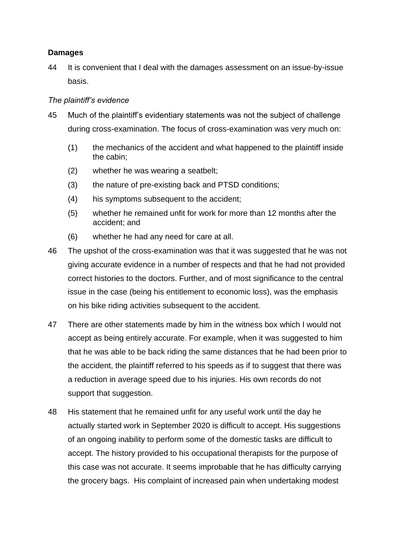# **Damages**

44 It is convenient that I deal with the damages assessment on an issue-by-issue basis.

# *The plaintiff's evidence*

- 45 Much of the plaintiff's evidentiary statements was not the subject of challenge during cross-examination. The focus of cross-examination was very much on:
	- (1) the mechanics of the accident and what happened to the plaintiff inside the cabin;
	- (2) whether he was wearing a seatbelt;
	- (3) the nature of pre-existing back and PTSD conditions;
	- (4) his symptoms subsequent to the accident;
	- (5) whether he remained unfit for work for more than 12 months after the accident; and
	- (6) whether he had any need for care at all.
- 46 The upshot of the cross-examination was that it was suggested that he was not giving accurate evidence in a number of respects and that he had not provided correct histories to the doctors. Further, and of most significance to the central issue in the case (being his entitlement to economic loss), was the emphasis on his bike riding activities subsequent to the accident.
- 47 There are other statements made by him in the witness box which I would not accept as being entirely accurate. For example, when it was suggested to him that he was able to be back riding the same distances that he had been prior to the accident, the plaintiff referred to his speeds as if to suggest that there was a reduction in average speed due to his injuries. His own records do not support that suggestion.
- 48 His statement that he remained unfit for any useful work until the day he actually started work in September 2020 is difficult to accept. His suggestions of an ongoing inability to perform some of the domestic tasks are difficult to accept. The history provided to his occupational therapists for the purpose of this case was not accurate. It seems improbable that he has difficulty carrying the grocery bags. His complaint of increased pain when undertaking modest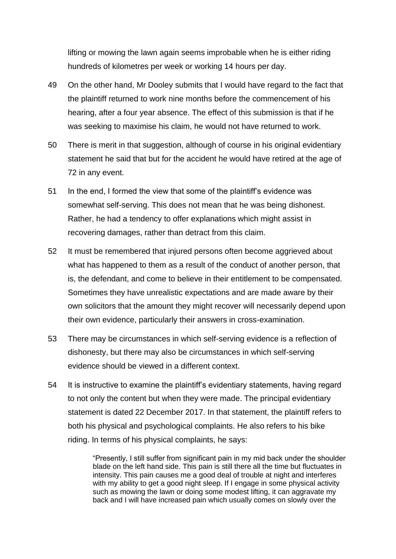lifting or mowing the lawn again seems improbable when he is either riding hundreds of kilometres per week or working 14 hours per day.

- 49 On the other hand, Mr Dooley submits that I would have regard to the fact that the plaintiff returned to work nine months before the commencement of his hearing, after a four year absence. The effect of this submission is that if he was seeking to maximise his claim, he would not have returned to work.
- 50 There is merit in that suggestion, although of course in his original evidentiary statement he said that but for the accident he would have retired at the age of 72 in any event.
- 51 In the end, I formed the view that some of the plaintiff's evidence was somewhat self-serving. This does not mean that he was being dishonest. Rather, he had a tendency to offer explanations which might assist in recovering damages, rather than detract from this claim.
- 52 It must be remembered that injured persons often become aggrieved about what has happened to them as a result of the conduct of another person, that is, the defendant, and come to believe in their entitlement to be compensated. Sometimes they have unrealistic expectations and are made aware by their own solicitors that the amount they might recover will necessarily depend upon their own evidence, particularly their answers in cross-examination.
- 53 There may be circumstances in which self-serving evidence is a reflection of dishonesty, but there may also be circumstances in which self-serving evidence should be viewed in a different context.
- 54 It is instructive to examine the plaintiff's evidentiary statements, having regard to not only the content but when they were made. The principal evidentiary statement is dated 22 December 2017. In that statement, the plaintiff refers to both his physical and psychological complaints. He also refers to his bike riding. In terms of his physical complaints, he says:

"Presently, I still suffer from significant pain in my mid back under the shoulder blade on the left hand side. This pain is still there all the time but fluctuates in intensity. This pain causes me a good deal of trouble at night and interferes with my ability to get a good night sleep. If I engage in some physical activity such as mowing the lawn or doing some modest lifting, it can aggravate my back and I will have increased pain which usually comes on slowly over the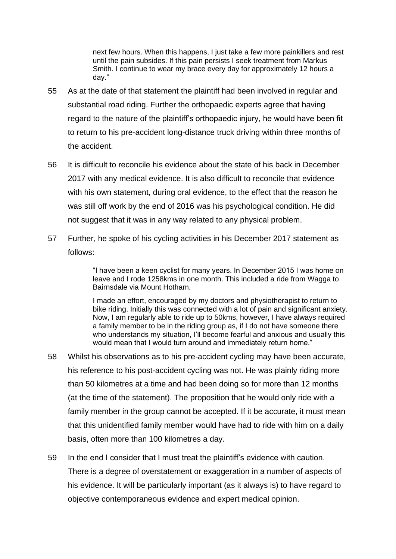next few hours. When this happens, I just take a few more painkillers and rest until the pain subsides. If this pain persists I seek treatment from Markus Smith. I continue to wear my brace every day for approximately 12 hours a day."

- 55 As at the date of that statement the plaintiff had been involved in regular and substantial road riding. Further the orthopaedic experts agree that having regard to the nature of the plaintiff's orthopaedic injury, he would have been fit to return to his pre-accident long-distance truck driving within three months of the accident.
- 56 It is difficult to reconcile his evidence about the state of his back in December 2017 with any medical evidence. It is also difficult to reconcile that evidence with his own statement, during oral evidence, to the effect that the reason he was still off work by the end of 2016 was his psychological condition. He did not suggest that it was in any way related to any physical problem.
- 57 Further, he spoke of his cycling activities in his December 2017 statement as follows:

"I have been a keen cyclist for many years. In December 2015 I was home on leave and I rode 1258kms in one month. This included a ride from Wagga to Bairnsdale via Mount Hotham.

I made an effort, encouraged by my doctors and physiotherapist to return to bike riding. Initially this was connected with a lot of pain and significant anxiety. Now, I am regularly able to ride up to 50kms, however, I have always required a family member to be in the riding group as, if I do not have someone there who understands my situation, I'll become fearful and anxious and usually this would mean that I would turn around and immediately return home."

- 58 Whilst his observations as to his pre-accident cycling may have been accurate, his reference to his post-accident cycling was not. He was plainly riding more than 50 kilometres at a time and had been doing so for more than 12 months (at the time of the statement). The proposition that he would only ride with a family member in the group cannot be accepted. If it be accurate, it must mean that this unidentified family member would have had to ride with him on a daily basis, often more than 100 kilometres a day.
- 59 In the end I consider that I must treat the plaintiff's evidence with caution. There is a degree of overstatement or exaggeration in a number of aspects of his evidence. It will be particularly important (as it always is) to have regard to objective contemporaneous evidence and expert medical opinion.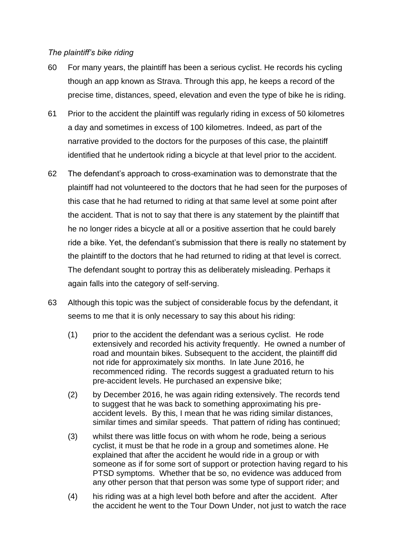## *The plaintiff's bike riding*

- 60 For many years, the plaintiff has been a serious cyclist. He records his cycling though an app known as Strava. Through this app, he keeps a record of the precise time, distances, speed, elevation and even the type of bike he is riding.
- 61 Prior to the accident the plaintiff was regularly riding in excess of 50 kilometres a day and sometimes in excess of 100 kilometres. Indeed, as part of the narrative provided to the doctors for the purposes of this case, the plaintiff identified that he undertook riding a bicycle at that level prior to the accident.
- 62 The defendant's approach to cross-examination was to demonstrate that the plaintiff had not volunteered to the doctors that he had seen for the purposes of this case that he had returned to riding at that same level at some point after the accident. That is not to say that there is any statement by the plaintiff that he no longer rides a bicycle at all or a positive assertion that he could barely ride a bike. Yet, the defendant's submission that there is really no statement by the plaintiff to the doctors that he had returned to riding at that level is correct. The defendant sought to portray this as deliberately misleading. Perhaps it again falls into the category of self-serving.
- 63 Although this topic was the subject of considerable focus by the defendant, it seems to me that it is only necessary to say this about his riding:
	- (1) prior to the accident the defendant was a serious cyclist. He rode extensively and recorded his activity frequently. He owned a number of road and mountain bikes. Subsequent to the accident, the plaintiff did not ride for approximately six months. In late June 2016, he recommenced riding. The records suggest a graduated return to his pre-accident levels. He purchased an expensive bike;
	- (2) by December 2016, he was again riding extensively. The records tend to suggest that he was back to something approximating his preaccident levels. By this, I mean that he was riding similar distances, similar times and similar speeds. That pattern of riding has continued;
	- (3) whilst there was little focus on with whom he rode, being a serious cyclist, it must be that he rode in a group and sometimes alone. He explained that after the accident he would ride in a group or with someone as if for some sort of support or protection having regard to his PTSD symptoms. Whether that be so, no evidence was adduced from any other person that that person was some type of support rider; and
	- (4) his riding was at a high level both before and after the accident. After the accident he went to the Tour Down Under, not just to watch the race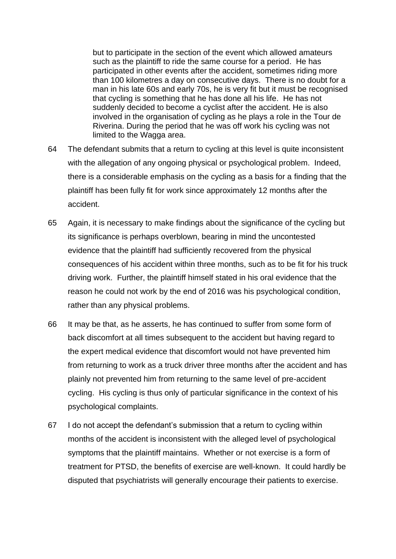but to participate in the section of the event which allowed amateurs such as the plaintiff to ride the same course for a period. He has participated in other events after the accident, sometimes riding more than 100 kilometres a day on consecutive days. There is no doubt for a man in his late 60s and early 70s, he is very fit but it must be recognised that cycling is something that he has done all his life. He has not suddenly decided to become a cyclist after the accident. He is also involved in the organisation of cycling as he plays a role in the Tour de Riverina. During the period that he was off work his cycling was not limited to the Wagga area.

- 64 The defendant submits that a return to cycling at this level is quite inconsistent with the allegation of any ongoing physical or psychological problem. Indeed, there is a considerable emphasis on the cycling as a basis for a finding that the plaintiff has been fully fit for work since approximately 12 months after the accident.
- 65 Again, it is necessary to make findings about the significance of the cycling but its significance is perhaps overblown, bearing in mind the uncontested evidence that the plaintiff had sufficiently recovered from the physical consequences of his accident within three months, such as to be fit for his truck driving work. Further, the plaintiff himself stated in his oral evidence that the reason he could not work by the end of 2016 was his psychological condition, rather than any physical problems.
- 66 It may be that, as he asserts, he has continued to suffer from some form of back discomfort at all times subsequent to the accident but having regard to the expert medical evidence that discomfort would not have prevented him from returning to work as a truck driver three months after the accident and has plainly not prevented him from returning to the same level of pre-accident cycling. His cycling is thus only of particular significance in the context of his psychological complaints.
- 67 I do not accept the defendant's submission that a return to cycling within months of the accident is inconsistent with the alleged level of psychological symptoms that the plaintiff maintains. Whether or not exercise is a form of treatment for PTSD, the benefits of exercise are well-known. It could hardly be disputed that psychiatrists will generally encourage their patients to exercise.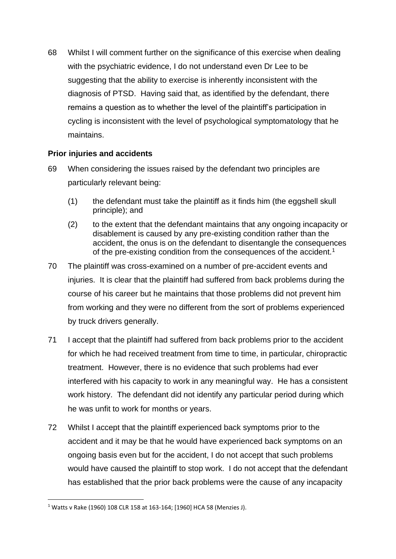68 Whilst I will comment further on the significance of this exercise when dealing with the psychiatric evidence, I do not understand even Dr Lee to be suggesting that the ability to exercise is inherently inconsistent with the diagnosis of PTSD. Having said that, as identified by the defendant, there remains a question as to whether the level of the plaintiff's participation in cycling is inconsistent with the level of psychological symptomatology that he maintains.

# **Prior injuries and accidents**

- 69 When considering the issues raised by the defendant two principles are particularly relevant being:
	- (1) the defendant must take the plaintiff as it finds him (the eggshell skull principle); and
	- (2) to the extent that the defendant maintains that any ongoing incapacity or disablement is caused by any pre-existing condition rather than the accident, the onus is on the defendant to disentangle the consequences of the pre-existing condition from the consequences of the accident.<sup>1</sup>
- 70 The plaintiff was cross-examined on a number of pre-accident events and injuries. It is clear that the plaintiff had suffered from back problems during the course of his career but he maintains that those problems did not prevent him from working and they were no different from the sort of problems experienced by truck drivers generally.
- 71 I accept that the plaintiff had suffered from back problems prior to the accident for which he had received treatment from time to time, in particular, chiropractic treatment. However, there is no evidence that such problems had ever interfered with his capacity to work in any meaningful way. He has a consistent work history. The defendant did not identify any particular period during which he was unfit to work for months or years.
- 72 Whilst I accept that the plaintiff experienced back symptoms prior to the accident and it may be that he would have experienced back symptoms on an ongoing basis even but for the accident, I do not accept that such problems would have caused the plaintiff to stop work. I do not accept that the defendant has established that the prior back problems were the cause of any incapacity

<sup>1</sup> Watts v Rake (1960) 108 CLR 158 at 163-164; [1960] HCA 58 (Menzies J).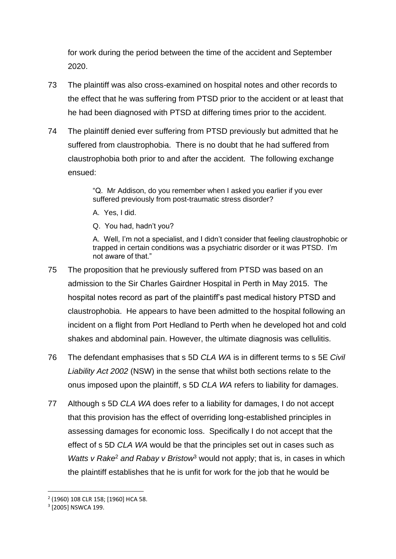for work during the period between the time of the accident and September 2020.

- 73 The plaintiff was also cross-examined on hospital notes and other records to the effect that he was suffering from PTSD prior to the accident or at least that he had been diagnosed with PTSD at differing times prior to the accident.
- 74 The plaintiff denied ever suffering from PTSD previously but admitted that he suffered from claustrophobia. There is no doubt that he had suffered from claustrophobia both prior to and after the accident. The following exchange ensued:

"Q. Mr Addison, do you remember when I asked you earlier if you ever suffered previously from post-traumatic stress disorder?

A. Yes, I did.

Q. You had, hadn't you?

A. Well, I'm not a specialist, and I didn't consider that feeling claustrophobic or trapped in certain conditions was a psychiatric disorder or it was PTSD. I'm not aware of that."

- 75 The proposition that he previously suffered from PTSD was based on an admission to the Sir Charles Gairdner Hospital in Perth in May 2015. The hospital notes record as part of the plaintiff's past medical history PTSD and claustrophobia. He appears to have been admitted to the hospital following an incident on a flight from Port Hedland to Perth when he developed hot and cold shakes and abdominal pain. However, the ultimate diagnosis was cellulitis.
- 76 The defendant emphasises that s 5D *CLA WA* is in different terms to s 5E *Civil Liability Act 2002* (NSW) in the sense that whilst both sections relate to the onus imposed upon the plaintiff, s 5D *CLA WA* refers to liability for damages.
- 77 Although s 5D *CLA WA* does refer to a liability for damages, I do not accept that this provision has the effect of overriding long-established principles in assessing damages for economic loss. Specifically I do not accept that the effect of s 5D *CLA WA* would be that the principles set out in cases such as *Watts v Rake<sup>2</sup> and Rabay v Bristow<sup>3</sup> would not apply; that is, in cases in which* the plaintiff establishes that he is unfit for work for the job that he would be

<sup>2</sup> (1960) 108 CLR 158; [1960] HCA 58.

<sup>3</sup> [2005] NSWCA 199.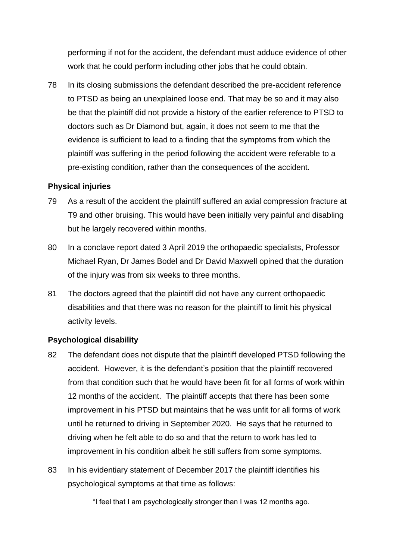performing if not for the accident, the defendant must adduce evidence of other work that he could perform including other jobs that he could obtain.

78 In its closing submissions the defendant described the pre-accident reference to PTSD as being an unexplained loose end. That may be so and it may also be that the plaintiff did not provide a history of the earlier reference to PTSD to doctors such as Dr Diamond but, again, it does not seem to me that the evidence is sufficient to lead to a finding that the symptoms from which the plaintiff was suffering in the period following the accident were referable to a pre-existing condition, rather than the consequences of the accident.

# **Physical injuries**

- 79 As a result of the accident the plaintiff suffered an axial compression fracture at T9 and other bruising. This would have been initially very painful and disabling but he largely recovered within months.
- 80 In a conclave report dated 3 April 2019 the orthopaedic specialists, Professor Michael Ryan, Dr James Bodel and Dr David Maxwell opined that the duration of the injury was from six weeks to three months.
- 81 The doctors agreed that the plaintiff did not have any current orthopaedic disabilities and that there was no reason for the plaintiff to limit his physical activity levels.

# **Psychological disability**

- 82 The defendant does not dispute that the plaintiff developed PTSD following the accident. However, it is the defendant's position that the plaintiff recovered from that condition such that he would have been fit for all forms of work within 12 months of the accident. The plaintiff accepts that there has been some improvement in his PTSD but maintains that he was unfit for all forms of work until he returned to driving in September 2020. He says that he returned to driving when he felt able to do so and that the return to work has led to improvement in his condition albeit he still suffers from some symptoms.
- 83 In his evidentiary statement of December 2017 the plaintiff identifies his psychological symptoms at that time as follows:

"I feel that I am psychologically stronger than I was 12 months ago.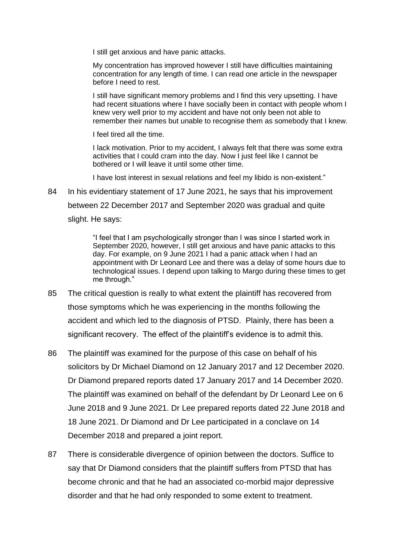I still get anxious and have panic attacks.

My concentration has improved however I still have difficulties maintaining concentration for any length of time. I can read one article in the newspaper before I need to rest.

I still have significant memory problems and I find this very upsetting. I have had recent situations where I have socially been in contact with people whom I knew very well prior to my accident and have not only been not able to remember their names but unable to recognise them as somebody that I knew.

I feel tired all the time.

I lack motivation. Prior to my accident, I always felt that there was some extra activities that I could cram into the day. Now I just feel like I cannot be bothered or I will leave it until some other time.

I have lost interest in sexual relations and feel my libido is non-existent."

84 In his evidentiary statement of 17 June 2021, he says that his improvement between 22 December 2017 and September 2020 was gradual and quite slight. He says:

> "I feel that I am psychologically stronger than I was since I started work in September 2020, however, I still get anxious and have panic attacks to this day. For example, on 9 June 2021 I had a panic attack when I had an appointment with Dr Leonard Lee and there was a delay of some hours due to technological issues. I depend upon talking to Margo during these times to get me through."

- 85 The critical question is really to what extent the plaintiff has recovered from those symptoms which he was experiencing in the months following the accident and which led to the diagnosis of PTSD. Plainly, there has been a significant recovery. The effect of the plaintiff's evidence is to admit this.
- 86 The plaintiff was examined for the purpose of this case on behalf of his solicitors by Dr Michael Diamond on 12 January 2017 and 12 December 2020. Dr Diamond prepared reports dated 17 January 2017 and 14 December 2020. The plaintiff was examined on behalf of the defendant by Dr Leonard Lee on 6 June 2018 and 9 June 2021. Dr Lee prepared reports dated 22 June 2018 and 18 June 2021. Dr Diamond and Dr Lee participated in a conclave on 14 December 2018 and prepared a joint report.
- 87 There is considerable divergence of opinion between the doctors. Suffice to say that Dr Diamond considers that the plaintiff suffers from PTSD that has become chronic and that he had an associated co-morbid major depressive disorder and that he had only responded to some extent to treatment.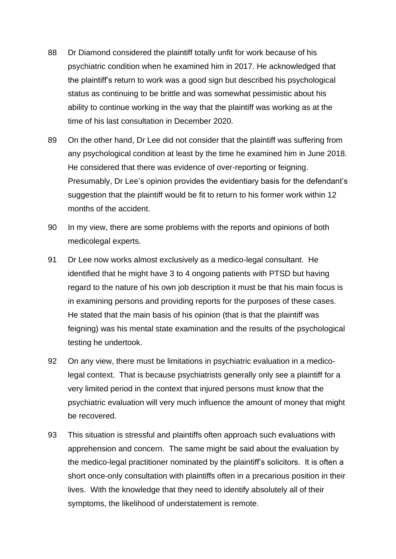- 88 Dr Diamond considered the plaintiff totally unfit for work because of his psychiatric condition when he examined him in 2017. He acknowledged that the plaintiff's return to work was a good sign but described his psychological status as continuing to be brittle and was somewhat pessimistic about his ability to continue working in the way that the plaintiff was working as at the time of his last consultation in December 2020.
- 89 On the other hand, Dr Lee did not consider that the plaintiff was suffering from any psychological condition at least by the time he examined him in June 2018. He considered that there was evidence of over-reporting or feigning. Presumably, Dr Lee's opinion provides the evidentiary basis for the defendant's suggestion that the plaintiff would be fit to return to his former work within 12 months of the accident.
- 90 In my view, there are some problems with the reports and opinions of both medicolegal experts.
- 91 Dr Lee now works almost exclusively as a medico-legal consultant. He identified that he might have 3 to 4 ongoing patients with PTSD but having regard to the nature of his own job description it must be that his main focus is in examining persons and providing reports for the purposes of these cases. He stated that the main basis of his opinion (that is that the plaintiff was feigning) was his mental state examination and the results of the psychological testing he undertook.
- 92 On any view, there must be limitations in psychiatric evaluation in a medicolegal context. That is because psychiatrists generally only see a plaintiff for a very limited period in the context that injured persons must know that the psychiatric evaluation will very much influence the amount of money that might be recovered.
- 93 This situation is stressful and plaintiffs often approach such evaluations with apprehension and concern. The same might be said about the evaluation by the medico-legal practitioner nominated by the plaintiff's solicitors. It is often a short once-only consultation with plaintiffs often in a precarious position in their lives. With the knowledge that they need to identify absolutely all of their symptoms, the likelihood of understatement is remote.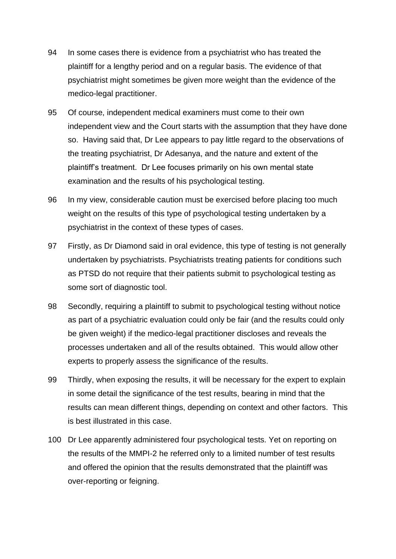- 94 In some cases there is evidence from a psychiatrist who has treated the plaintiff for a lengthy period and on a regular basis. The evidence of that psychiatrist might sometimes be given more weight than the evidence of the medico-legal practitioner.
- 95 Of course, independent medical examiners must come to their own independent view and the Court starts with the assumption that they have done so. Having said that, Dr Lee appears to pay little regard to the observations of the treating psychiatrist, Dr Adesanya, and the nature and extent of the plaintiff's treatment. Dr Lee focuses primarily on his own mental state examination and the results of his psychological testing.
- 96 In my view, considerable caution must be exercised before placing too much weight on the results of this type of psychological testing undertaken by a psychiatrist in the context of these types of cases.
- 97 Firstly, as Dr Diamond said in oral evidence, this type of testing is not generally undertaken by psychiatrists. Psychiatrists treating patients for conditions such as PTSD do not require that their patients submit to psychological testing as some sort of diagnostic tool.
- 98 Secondly, requiring a plaintiff to submit to psychological testing without notice as part of a psychiatric evaluation could only be fair (and the results could only be given weight) if the medico-legal practitioner discloses and reveals the processes undertaken and all of the results obtained. This would allow other experts to properly assess the significance of the results.
- 99 Thirdly, when exposing the results, it will be necessary for the expert to explain in some detail the significance of the test results, bearing in mind that the results can mean different things, depending on context and other factors. This is best illustrated in this case.
- 100 Dr Lee apparently administered four psychological tests. Yet on reporting on the results of the MMPI-2 he referred only to a limited number of test results and offered the opinion that the results demonstrated that the plaintiff was over-reporting or feigning.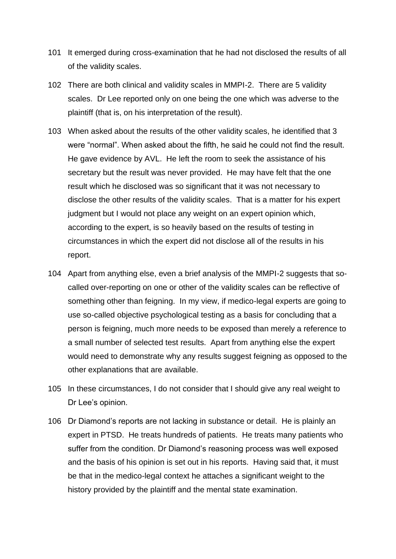- 101 It emerged during cross-examination that he had not disclosed the results of all of the validity scales.
- 102 There are both clinical and validity scales in MMPI-2. There are 5 validity scales. Dr Lee reported only on one being the one which was adverse to the plaintiff (that is, on his interpretation of the result).
- 103 When asked about the results of the other validity scales, he identified that 3 were "normal". When asked about the fifth, he said he could not find the result. He gave evidence by AVL. He left the room to seek the assistance of his secretary but the result was never provided. He may have felt that the one result which he disclosed was so significant that it was not necessary to disclose the other results of the validity scales. That is a matter for his expert judgment but I would not place any weight on an expert opinion which, according to the expert, is so heavily based on the results of testing in circumstances in which the expert did not disclose all of the results in his report.
- 104 Apart from anything else, even a brief analysis of the MMPI-2 suggests that socalled over-reporting on one or other of the validity scales can be reflective of something other than feigning. In my view, if medico-legal experts are going to use so-called objective psychological testing as a basis for concluding that a person is feigning, much more needs to be exposed than merely a reference to a small number of selected test results. Apart from anything else the expert would need to demonstrate why any results suggest feigning as opposed to the other explanations that are available.
- 105 In these circumstances, I do not consider that I should give any real weight to Dr Lee's opinion.
- 106 Dr Diamond's reports are not lacking in substance or detail. He is plainly an expert in PTSD. He treats hundreds of patients. He treats many patients who suffer from the condition. Dr Diamond's reasoning process was well exposed and the basis of his opinion is set out in his reports. Having said that, it must be that in the medico-legal context he attaches a significant weight to the history provided by the plaintiff and the mental state examination.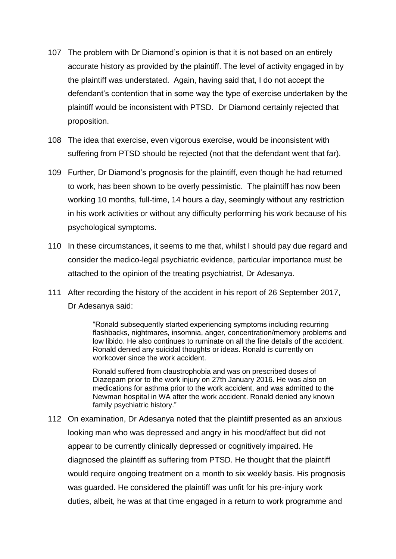- 107 The problem with Dr Diamond's opinion is that it is not based on an entirely accurate history as provided by the plaintiff. The level of activity engaged in by the plaintiff was understated. Again, having said that, I do not accept the defendant's contention that in some way the type of exercise undertaken by the plaintiff would be inconsistent with PTSD. Dr Diamond certainly rejected that proposition.
- 108 The idea that exercise, even vigorous exercise, would be inconsistent with suffering from PTSD should be rejected (not that the defendant went that far).
- 109 Further, Dr Diamond's prognosis for the plaintiff, even though he had returned to work, has been shown to be overly pessimistic. The plaintiff has now been working 10 months, full-time, 14 hours a day, seemingly without any restriction in his work activities or without any difficulty performing his work because of his psychological symptoms.
- 110 In these circumstances, it seems to me that, whilst I should pay due regard and consider the medico-legal psychiatric evidence, particular importance must be attached to the opinion of the treating psychiatrist, Dr Adesanya.
- 111 After recording the history of the accident in his report of 26 September 2017, Dr Adesanya said:

"Ronald subsequently started experiencing symptoms including recurring flashbacks, nightmares, insomnia, anger, concentration/memory problems and low libido. He also continues to ruminate on all the fine details of the accident. Ronald denied any suicidal thoughts or ideas. Ronald is currently on workcover since the work accident.

Ronald suffered from claustrophobia and was on prescribed doses of Diazepam prior to the work injury on 27th January 2016. He was also on medications for asthma prior to the work accident, and was admitted to the Newman hospital in WA after the work accident. Ronald denied any known family psychiatric history."

112 On examination, Dr Adesanya noted that the plaintiff presented as an anxious looking man who was depressed and angry in his mood/affect but did not appear to be currently clinically depressed or cognitively impaired. He diagnosed the plaintiff as suffering from PTSD. He thought that the plaintiff would require ongoing treatment on a month to six weekly basis. His prognosis was guarded. He considered the plaintiff was unfit for his pre-injury work duties, albeit, he was at that time engaged in a return to work programme and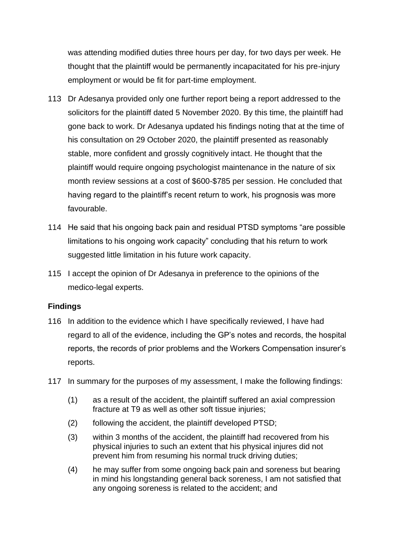was attending modified duties three hours per day, for two days per week. He thought that the plaintiff would be permanently incapacitated for his pre-injury employment or would be fit for part-time employment.

- 113 Dr Adesanya provided only one further report being a report addressed to the solicitors for the plaintiff dated 5 November 2020. By this time, the plaintiff had gone back to work. Dr Adesanya updated his findings noting that at the time of his consultation on 29 October 2020, the plaintiff presented as reasonably stable, more confident and grossly cognitively intact. He thought that the plaintiff would require ongoing psychologist maintenance in the nature of six month review sessions at a cost of \$600-\$785 per session. He concluded that having regard to the plaintiff's recent return to work, his prognosis was more favourable.
- 114 He said that his ongoing back pain and residual PTSD symptoms "are possible limitations to his ongoing work capacity" concluding that his return to work suggested little limitation in his future work capacity.
- 115 I accept the opinion of Dr Adesanya in preference to the opinions of the medico-legal experts.

#### **Findings**

- 116 In addition to the evidence which I have specifically reviewed, I have had regard to all of the evidence, including the GP's notes and records, the hospital reports, the records of prior problems and the Workers Compensation insurer's reports.
- 117 In summary for the purposes of my assessment, I make the following findings:
	- (1) as a result of the accident, the plaintiff suffered an axial compression fracture at T9 as well as other soft tissue injuries;
	- (2) following the accident, the plaintiff developed PTSD;
	- (3) within 3 months of the accident, the plaintiff had recovered from his physical injuries to such an extent that his physical injures did not prevent him from resuming his normal truck driving duties;
	- (4) he may suffer from some ongoing back pain and soreness but bearing in mind his longstanding general back soreness, I am not satisfied that any ongoing soreness is related to the accident; and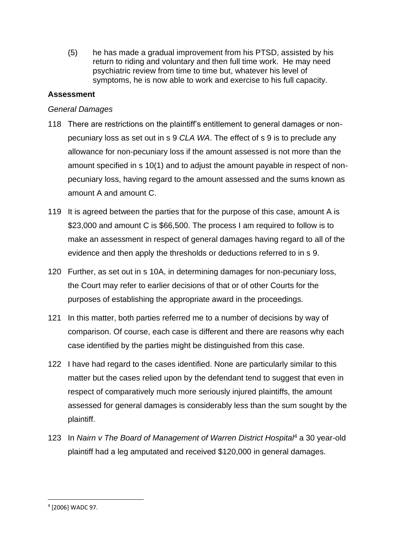(5) he has made a gradual improvement from his PTSD, assisted by his return to riding and voluntary and then full time work. He may need psychiatric review from time to time but, whatever his level of symptoms, he is now able to work and exercise to his full capacity.

# **Assessment**

# *General Damages*

- 118 There are restrictions on the plaintiff's entitlement to general damages or nonpecuniary loss as set out in s 9 *CLA WA*. The effect of s 9 is to preclude any allowance for non-pecuniary loss if the amount assessed is not more than the amount specified in s 10(1) and to adjust the amount payable in respect of nonpecuniary loss, having regard to the amount assessed and the sums known as amount A and amount C.
- 119 It is agreed between the parties that for the purpose of this case, amount A is \$23,000 and amount C is \$66,500. The process I am required to follow is to make an assessment in respect of general damages having regard to all of the evidence and then apply the thresholds or deductions referred to in s 9.
- 120 Further, as set out in s 10A, in determining damages for non-pecuniary loss, the Court may refer to earlier decisions of that or of other Courts for the purposes of establishing the appropriate award in the proceedings.
- 121 In this matter, both parties referred me to a number of decisions by way of comparison. Of course, each case is different and there are reasons why each case identified by the parties might be distinguished from this case.
- 122 I have had regard to the cases identified. None are particularly similar to this matter but the cases relied upon by the defendant tend to suggest that even in respect of comparatively much more seriously injured plaintiffs, the amount assessed for general damages is considerably less than the sum sought by the plaintiff.
- 123 In *Nairn v The Board of Management of Warren District Hospital*<sup>4</sup> a 30 year-old plaintiff had a leg amputated and received \$120,000 in general damages.

<sup>4</sup> [2006] WADC 97.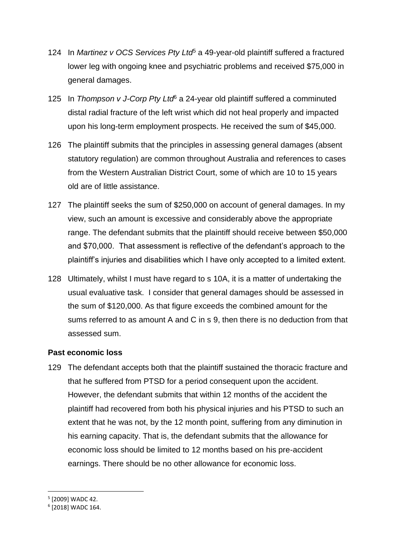- 124 In *Martinez v OCS Services Pty Ltd*<sup>5</sup> a 49-year-old plaintiff suffered a fractured lower leg with ongoing knee and psychiatric problems and received \$75,000 in general damages.
- 125 In *Thompson v J-Corp Pty Ltd*<sup>6</sup> a 24-year old plaintiff suffered a comminuted distal radial fracture of the left wrist which did not heal properly and impacted upon his long-term employment prospects. He received the sum of \$45,000.
- 126 The plaintiff submits that the principles in assessing general damages (absent statutory regulation) are common throughout Australia and references to cases from the Western Australian District Court, some of which are 10 to 15 years old are of little assistance.
- 127 The plaintiff seeks the sum of \$250,000 on account of general damages. In my view, such an amount is excessive and considerably above the appropriate range. The defendant submits that the plaintiff should receive between \$50,000 and \$70,000. That assessment is reflective of the defendant's approach to the plaintiff's injuries and disabilities which I have only accepted to a limited extent.
- 128 Ultimately, whilst I must have regard to s 10A, it is a matter of undertaking the usual evaluative task. I consider that general damages should be assessed in the sum of \$120,000. As that figure exceeds the combined amount for the sums referred to as amount A and C in s 9, then there is no deduction from that assessed sum.

#### **Past economic loss**

129 The defendant accepts both that the plaintiff sustained the thoracic fracture and that he suffered from PTSD for a period consequent upon the accident. However, the defendant submits that within 12 months of the accident the plaintiff had recovered from both his physical injuries and his PTSD to such an extent that he was not, by the 12 month point, suffering from any diminution in his earning capacity. That is, the defendant submits that the allowance for economic loss should be limited to 12 months based on his pre-accident earnings. There should be no other allowance for economic loss.

<sup>5</sup> [2009] WADC 42.

<sup>6</sup> [2018] WADC 164.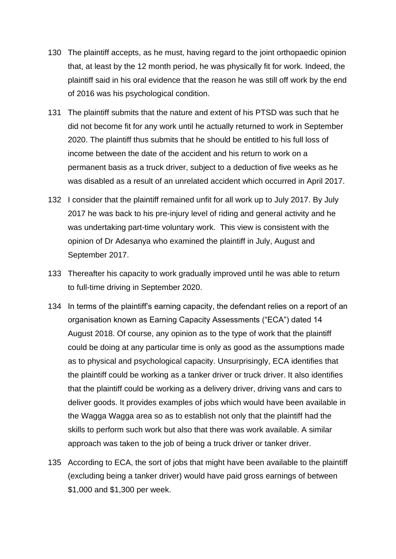- 130 The plaintiff accepts, as he must, having regard to the joint orthopaedic opinion that, at least by the 12 month period, he was physically fit for work. Indeed, the plaintiff said in his oral evidence that the reason he was still off work by the end of 2016 was his psychological condition.
- 131 The plaintiff submits that the nature and extent of his PTSD was such that he did not become fit for any work until he actually returned to work in September 2020. The plaintiff thus submits that he should be entitled to his full loss of income between the date of the accident and his return to work on a permanent basis as a truck driver, subject to a deduction of five weeks as he was disabled as a result of an unrelated accident which occurred in April 2017.
- 132 I consider that the plaintiff remained unfit for all work up to July 2017. By July 2017 he was back to his pre-injury level of riding and general activity and he was undertaking part-time voluntary work. This view is consistent with the opinion of Dr Adesanya who examined the plaintiff in July, August and September 2017.
- 133 Thereafter his capacity to work gradually improved until he was able to return to full-time driving in September 2020.
- 134 In terms of the plaintiff's earning capacity, the defendant relies on a report of an organisation known as Earning Capacity Assessments ("ECA") dated 14 August 2018. Of course, any opinion as to the type of work that the plaintiff could be doing at any particular time is only as good as the assumptions made as to physical and psychological capacity. Unsurprisingly, ECA identifies that the plaintiff could be working as a tanker driver or truck driver. It also identifies that the plaintiff could be working as a delivery driver, driving vans and cars to deliver goods. It provides examples of jobs which would have been available in the Wagga Wagga area so as to establish not only that the plaintiff had the skills to perform such work but also that there was work available. A similar approach was taken to the job of being a truck driver or tanker driver.
- 135 According to ECA, the sort of jobs that might have been available to the plaintiff (excluding being a tanker driver) would have paid gross earnings of between \$1,000 and \$1,300 per week.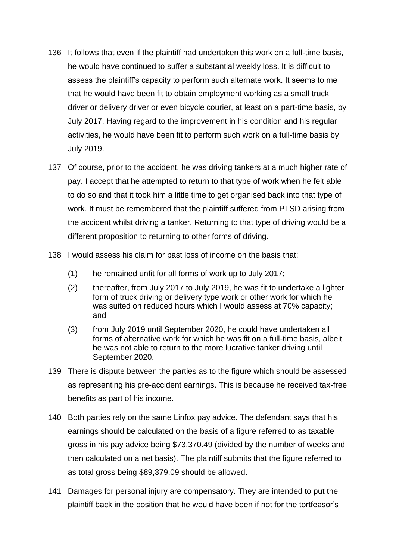- 136 It follows that even if the plaintiff had undertaken this work on a full-time basis, he would have continued to suffer a substantial weekly loss. It is difficult to assess the plaintiff's capacity to perform such alternate work. It seems to me that he would have been fit to obtain employment working as a small truck driver or delivery driver or even bicycle courier, at least on a part-time basis, by July 2017. Having regard to the improvement in his condition and his regular activities, he would have been fit to perform such work on a full-time basis by July 2019.
- 137 Of course, prior to the accident, he was driving tankers at a much higher rate of pay. I accept that he attempted to return to that type of work when he felt able to do so and that it took him a little time to get organised back into that type of work. It must be remembered that the plaintiff suffered from PTSD arising from the accident whilst driving a tanker. Returning to that type of driving would be a different proposition to returning to other forms of driving.
- 138 I would assess his claim for past loss of income on the basis that:
	- (1) he remained unfit for all forms of work up to July 2017;
	- (2) thereafter, from July 2017 to July 2019, he was fit to undertake a lighter form of truck driving or delivery type work or other work for which he was suited on reduced hours which I would assess at 70% capacity; and
	- (3) from July 2019 until September 2020, he could have undertaken all forms of alternative work for which he was fit on a full-time basis, albeit he was not able to return to the more lucrative tanker driving until September 2020.
- 139 There is dispute between the parties as to the figure which should be assessed as representing his pre-accident earnings. This is because he received tax-free benefits as part of his income.
- 140 Both parties rely on the same Linfox pay advice. The defendant says that his earnings should be calculated on the basis of a figure referred to as taxable gross in his pay advice being \$73,370.49 (divided by the number of weeks and then calculated on a net basis). The plaintiff submits that the figure referred to as total gross being \$89,379.09 should be allowed.
- 141 Damages for personal injury are compensatory. They are intended to put the plaintiff back in the position that he would have been if not for the tortfeasor's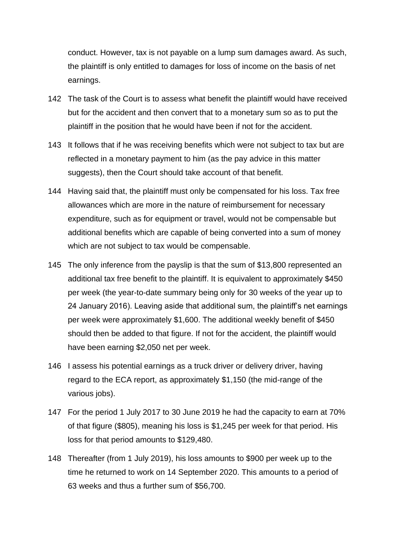conduct. However, tax is not payable on a lump sum damages award. As such, the plaintiff is only entitled to damages for loss of income on the basis of net earnings.

- 142 The task of the Court is to assess what benefit the plaintiff would have received but for the accident and then convert that to a monetary sum so as to put the plaintiff in the position that he would have been if not for the accident.
- 143 It follows that if he was receiving benefits which were not subject to tax but are reflected in a monetary payment to him (as the pay advice in this matter suggests), then the Court should take account of that benefit.
- 144 Having said that, the plaintiff must only be compensated for his loss. Tax free allowances which are more in the nature of reimbursement for necessary expenditure, such as for equipment or travel, would not be compensable but additional benefits which are capable of being converted into a sum of money which are not subject to tax would be compensable.
- 145 The only inference from the payslip is that the sum of \$13,800 represented an additional tax free benefit to the plaintiff. It is equivalent to approximately \$450 per week (the year-to-date summary being only for 30 weeks of the year up to 24 January 2016). Leaving aside that additional sum, the plaintiff's net earnings per week were approximately \$1,600. The additional weekly benefit of \$450 should then be added to that figure. If not for the accident, the plaintiff would have been earning \$2,050 net per week.
- 146 I assess his potential earnings as a truck driver or delivery driver, having regard to the ECA report, as approximately \$1,150 (the mid-range of the various jobs).
- 147 For the period 1 July 2017 to 30 June 2019 he had the capacity to earn at 70% of that figure (\$805), meaning his loss is \$1,245 per week for that period. His loss for that period amounts to \$129,480.
- 148 Thereafter (from 1 July 2019), his loss amounts to \$900 per week up to the time he returned to work on 14 September 2020. This amounts to a period of 63 weeks and thus a further sum of \$56,700.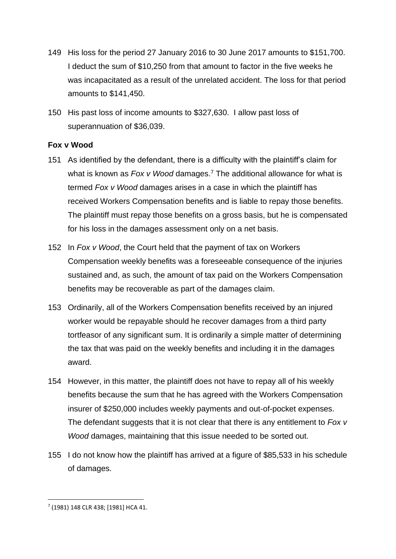- 149 His loss for the period 27 January 2016 to 30 June 2017 amounts to \$151,700. I deduct the sum of \$10,250 from that amount to factor in the five weeks he was incapacitated as a result of the unrelated accident. The loss for that period amounts to \$141,450.
- 150 His past loss of income amounts to \$327,630. I allow past loss of superannuation of \$36,039.

# **Fox v Wood**

- 151 As identified by the defendant, there is a difficulty with the plaintiff's claim for what is known as *Fox v Wood* damages.<sup>7</sup> The additional allowance for what is termed *Fox v Wood* damages arises in a case in which the plaintiff has received Workers Compensation benefits and is liable to repay those benefits. The plaintiff must repay those benefits on a gross basis, but he is compensated for his loss in the damages assessment only on a net basis.
- 152 In *Fox v Wood*, the Court held that the payment of tax on Workers Compensation weekly benefits was a foreseeable consequence of the injuries sustained and, as such, the amount of tax paid on the Workers Compensation benefits may be recoverable as part of the damages claim.
- 153 Ordinarily, all of the Workers Compensation benefits received by an injured worker would be repayable should he recover damages from a third party tortfeasor of any significant sum. It is ordinarily a simple matter of determining the tax that was paid on the weekly benefits and including it in the damages award.
- 154 However, in this matter, the plaintiff does not have to repay all of his weekly benefits because the sum that he has agreed with the Workers Compensation insurer of \$250,000 includes weekly payments and out-of-pocket expenses. The defendant suggests that it is not clear that there is any entitlement to *Fox v Wood* damages, maintaining that this issue needed to be sorted out.
- 155 I do not know how the plaintiff has arrived at a figure of \$85,533 in his schedule of damages.

<sup>7</sup> (1981) 148 CLR 438; [1981] HCA 41.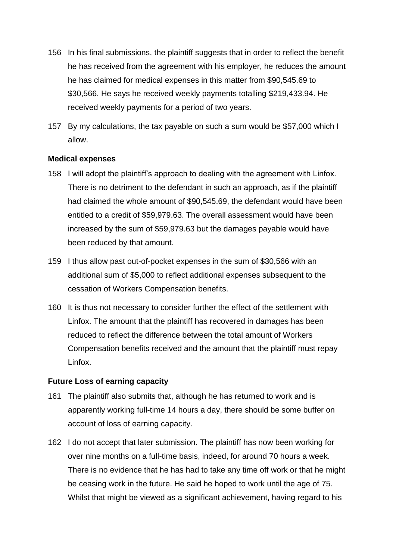- 156 In his final submissions, the plaintiff suggests that in order to reflect the benefit he has received from the agreement with his employer, he reduces the amount he has claimed for medical expenses in this matter from \$90,545.69 to \$30,566. He says he received weekly payments totalling \$219,433.94. He received weekly payments for a period of two years.
- 157 By my calculations, the tax payable on such a sum would be \$57,000 which I allow.

#### **Medical expenses**

- 158 I will adopt the plaintiff's approach to dealing with the agreement with Linfox. There is no detriment to the defendant in such an approach, as if the plaintiff had claimed the whole amount of \$90,545.69, the defendant would have been entitled to a credit of \$59,979.63. The overall assessment would have been increased by the sum of \$59,979.63 but the damages payable would have been reduced by that amount.
- 159 I thus allow past out-of-pocket expenses in the sum of \$30,566 with an additional sum of \$5,000 to reflect additional expenses subsequent to the cessation of Workers Compensation benefits.
- 160 It is thus not necessary to consider further the effect of the settlement with Linfox. The amount that the plaintiff has recovered in damages has been reduced to reflect the difference between the total amount of Workers Compensation benefits received and the amount that the plaintiff must repay Linfox.

#### **Future Loss of earning capacity**

- 161 The plaintiff also submits that, although he has returned to work and is apparently working full-time 14 hours a day, there should be some buffer on account of loss of earning capacity.
- 162 I do not accept that later submission. The plaintiff has now been working for over nine months on a full-time basis, indeed, for around 70 hours a week. There is no evidence that he has had to take any time off work or that he might be ceasing work in the future. He said he hoped to work until the age of 75. Whilst that might be viewed as a significant achievement, having regard to his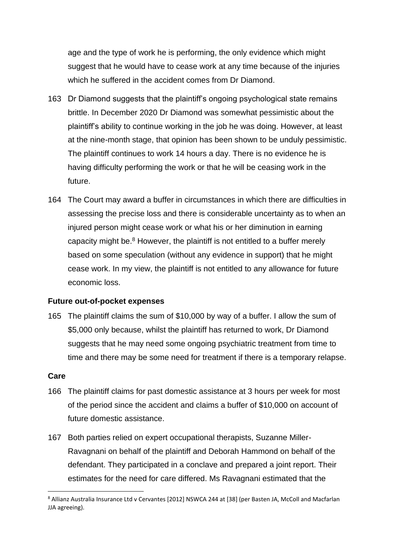age and the type of work he is performing, the only evidence which might suggest that he would have to cease work at any time because of the injuries which he suffered in the accident comes from Dr Diamond.

- 163 Dr Diamond suggests that the plaintiff's ongoing psychological state remains brittle. In December 2020 Dr Diamond was somewhat pessimistic about the plaintiff's ability to continue working in the job he was doing. However, at least at the nine-month stage, that opinion has been shown to be unduly pessimistic. The plaintiff continues to work 14 hours a day. There is no evidence he is having difficulty performing the work or that he will be ceasing work in the future.
- 164 The Court may award a buffer in circumstances in which there are difficulties in assessing the precise loss and there is considerable uncertainty as to when an injured person might cease work or what his or her diminution in earning capacity might be.<sup>8</sup> However, the plaintiff is not entitled to a buffer merely based on some speculation (without any evidence in support) that he might cease work. In my view, the plaintiff is not entitled to any allowance for future economic loss.

#### **Future out-of-pocket expenses**

165 The plaintiff claims the sum of \$10,000 by way of a buffer. I allow the sum of \$5,000 only because, whilst the plaintiff has returned to work, Dr Diamond suggests that he may need some ongoing psychiatric treatment from time to time and there may be some need for treatment if there is a temporary relapse.

#### **Care**

- 166 The plaintiff claims for past domestic assistance at 3 hours per week for most of the period since the accident and claims a buffer of \$10,000 on account of future domestic assistance.
- 167 Both parties relied on expert occupational therapists, Suzanne Miller-Ravagnani on behalf of the plaintiff and Deborah Hammond on behalf of the defendant. They participated in a conclave and prepared a joint report. Their estimates for the need for care differed. Ms Ravagnani estimated that the

<sup>8</sup> Allianz Australia Insurance Ltd v Cervantes [2012] NSWCA 244 at [38] (per Basten JA, McColl and Macfarlan JJA agreeing).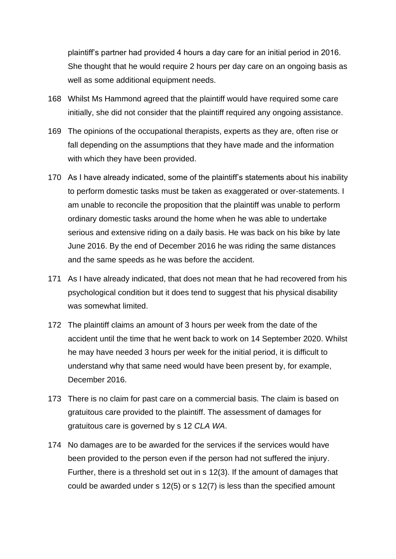plaintiff's partner had provided 4 hours a day care for an initial period in 2016. She thought that he would require 2 hours per day care on an ongoing basis as well as some additional equipment needs.

- 168 Whilst Ms Hammond agreed that the plaintiff would have required some care initially, she did not consider that the plaintiff required any ongoing assistance.
- 169 The opinions of the occupational therapists, experts as they are, often rise or fall depending on the assumptions that they have made and the information with which they have been provided.
- 170 As I have already indicated, some of the plaintiff's statements about his inability to perform domestic tasks must be taken as exaggerated or over-statements. I am unable to reconcile the proposition that the plaintiff was unable to perform ordinary domestic tasks around the home when he was able to undertake serious and extensive riding on a daily basis. He was back on his bike by late June 2016. By the end of December 2016 he was riding the same distances and the same speeds as he was before the accident.
- 171 As I have already indicated, that does not mean that he had recovered from his psychological condition but it does tend to suggest that his physical disability was somewhat limited.
- 172 The plaintiff claims an amount of 3 hours per week from the date of the accident until the time that he went back to work on 14 September 2020. Whilst he may have needed 3 hours per week for the initial period, it is difficult to understand why that same need would have been present by, for example, December 2016.
- 173 There is no claim for past care on a commercial basis. The claim is based on gratuitous care provided to the plaintiff. The assessment of damages for gratuitous care is governed by s 12 *CLA WA*.
- 174 No damages are to be awarded for the services if the services would have been provided to the person even if the person had not suffered the injury. Further, there is a threshold set out in s 12(3). If the amount of damages that could be awarded under s 12(5) or s 12(7) is less than the specified amount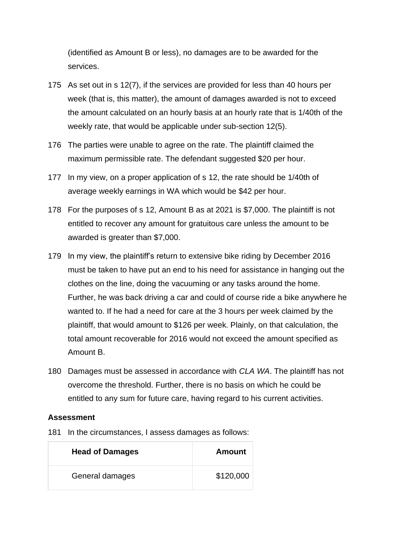(identified as Amount B or less), no damages are to be awarded for the services.

- 175 As set out in s 12(7), if the services are provided for less than 40 hours per week (that is, this matter), the amount of damages awarded is not to exceed the amount calculated on an hourly basis at an hourly rate that is 1/40th of the weekly rate, that would be applicable under sub-section 12(5).
- 176 The parties were unable to agree on the rate. The plaintiff claimed the maximum permissible rate. The defendant suggested \$20 per hour.
- 177 In my view, on a proper application of s 12, the rate should be 1/40th of average weekly earnings in WA which would be \$42 per hour.
- 178 For the purposes of s 12, Amount B as at 2021 is \$7,000. The plaintiff is not entitled to recover any amount for gratuitous care unless the amount to be awarded is greater than \$7,000.
- 179 In my view, the plaintiff's return to extensive bike riding by December 2016 must be taken to have put an end to his need for assistance in hanging out the clothes on the line, doing the vacuuming or any tasks around the home. Further, he was back driving a car and could of course ride a bike anywhere he wanted to. If he had a need for care at the 3 hours per week claimed by the plaintiff, that would amount to \$126 per week. Plainly, on that calculation, the total amount recoverable for 2016 would not exceed the amount specified as Amount B.
- 180 Damages must be assessed in accordance with *CLA WA*. The plaintiff has not overcome the threshold. Further, there is no basis on which he could be entitled to any sum for future care, having regard to his current activities.

#### **Assessment**

181 In the circumstances, I assess damages as follows:

| <b>Head of Damages</b> | Amount    |
|------------------------|-----------|
| General damages        | \$120,000 |